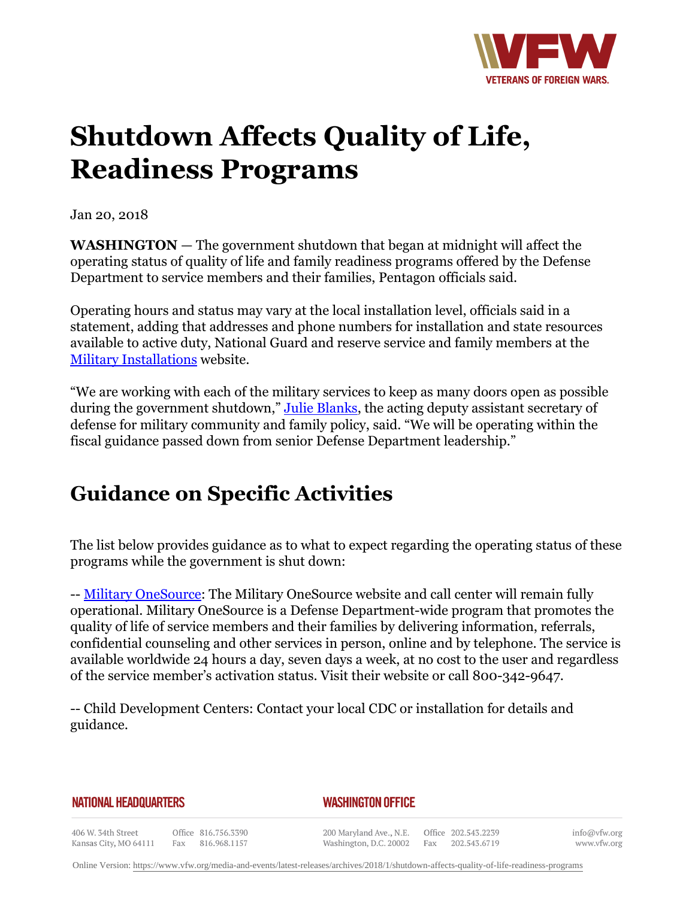

## **Shutdown Affects Quality of Life, Readiness Programs**

Jan 20, 2018

**WASHINGTON** — The government shutdown that began at midnight will affect the operating status of quality of life and family readiness programs offered by the Defense Department to service members and their families, Pentagon officials said.

Operating hours and status may vary at the local installation level, officials said in a statement, adding that addresses and phone numbers for installation and state resources available to active duty, National Guard and reserve service and family members at the [Military Installations](http:http://www.militaryinstallations.dod.mil/MOS/f?p=MI:ENTRY:0) website.

"We are working with each of the military services to keep as many doors open as possible during the government shutdown," [Julie Blanks](https:http://www.defense.gov/About/Biographies/Biography-View/Article/1285119/julie-blanks/), the acting deputy assistant secretary of defense for military community and family policy, said. "We will be operating within the fiscal guidance passed down from senior Defense Department leadership."

## **Guidance on Specific Activities**

The list below provides guidance as to what to expect regarding the operating status of these programs while the government is shut down:

-- [Military OneSource](http:http://www.militaryonesource.mil/): The Military OneSource website and call center will remain fully operational. Military OneSource is a Defense Department-wide program that promotes the quality of life of service members and their families by delivering information, referrals, confidential counseling and other services in person, online and by telephone. The service is available worldwide 24 hours a day, seven days a week, at no cost to the user and regardless of the service member's activation status. Visit their website or call 800-342-9647.

-- Child Development Centers: Contact your local CDC or installation for details and guidance.

## **NATIONAL HEADQUARTERS**

## *WASHINGTON OFFICE*

406 W. 34th Street Office 816.756.3390 Fax 816.968.1157 Kansas City, MO 64111

200 Maryland Ave., N.E. Washington, D.C. 20002

Office 202.543.2239 Fax 202.543.6719 info@vfw.org www.vfw.org

Online Version:<https://www.vfw.org/media-and-events/latest-releases/archives/2018/1/shutdown-affects-quality-of-life-readiness-programs>